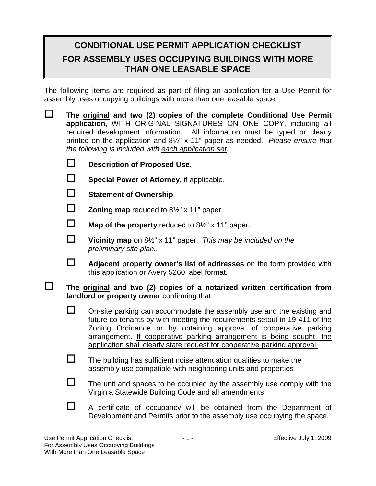## **CONDITIONAL USE PERMIT APPLICATION CHECKLIST FOR ASSEMBLY USES OCCUPYING BUILDINGS WITH MORE THAN ONE LEASABLE SPACE**

The following items are required as part of filing an application for a Use Permit for assembly uses occupying buildings with more than one leasable space:

| $\Box$ | The original and two (2) copies of the complete Conditional Use Permit<br>application, WITH ORIGINAL SIGNATURES ON ONE COPY, including all<br>required development information. All information must be typed or clearly<br>printed on the application and $8\frac{1}{2}$ " x 11" paper as needed. Please ensure that<br>the following is included with each application set: |                                                                                                                                                                                                                                                                                                                                                                              |
|--------|-------------------------------------------------------------------------------------------------------------------------------------------------------------------------------------------------------------------------------------------------------------------------------------------------------------------------------------------------------------------------------|------------------------------------------------------------------------------------------------------------------------------------------------------------------------------------------------------------------------------------------------------------------------------------------------------------------------------------------------------------------------------|
|        | □                                                                                                                                                                                                                                                                                                                                                                             | <b>Description of Proposed Use.</b>                                                                                                                                                                                                                                                                                                                                          |
|        | $\Box$                                                                                                                                                                                                                                                                                                                                                                        | Special Power of Attorney, if applicable.                                                                                                                                                                                                                                                                                                                                    |
|        | □                                                                                                                                                                                                                                                                                                                                                                             | <b>Statement of Ownership.</b>                                                                                                                                                                                                                                                                                                                                               |
|        | □                                                                                                                                                                                                                                                                                                                                                                             | <b>Zoning map</b> reduced to $8\frac{1}{2}$ " x 11" paper.                                                                                                                                                                                                                                                                                                                   |
|        | $\Box$                                                                                                                                                                                                                                                                                                                                                                        | <b>Map of the property</b> reduced to $8\frac{1}{2}$ " x 11" paper.                                                                                                                                                                                                                                                                                                          |
|        | $\Box$                                                                                                                                                                                                                                                                                                                                                                        | Vicinity map on 8 <sup>1/2"</sup> x 11" paper. This may be included on the<br>preliminary site plan                                                                                                                                                                                                                                                                          |
|        | $\Box$                                                                                                                                                                                                                                                                                                                                                                        | Adjacent property owner's list of addresses on the form provided with<br>this application or Avery 5260 label format.                                                                                                                                                                                                                                                        |
|        | The original and two (2) copies of a notarized written certification from<br>landlord or property owner confirming that:                                                                                                                                                                                                                                                      |                                                                                                                                                                                                                                                                                                                                                                              |
|        | $\Box$                                                                                                                                                                                                                                                                                                                                                                        | On-site parking can accommodate the assembly use and the existing and<br>future co-tenants by with meeting the requirements setout in 19-411 of the<br>Zoning Ordinance or by obtaining approval of cooperative parking<br>arrangement. If cooperative parking arrangement is being sought, the<br>application shall clearly state request for cooperative parking approval. |
|        | $\Box$                                                                                                                                                                                                                                                                                                                                                                        | The building has sufficient noise attenuation qualities to make the<br>assembly use compatible with neighboring units and properties                                                                                                                                                                                                                                         |
|        | $\Box$                                                                                                                                                                                                                                                                                                                                                                        | The unit and spaces to be occupied by the assembly use comply with the<br>Virginia Statewide Building Code and all amendments                                                                                                                                                                                                                                                |
|        | $\Box$                                                                                                                                                                                                                                                                                                                                                                        | A certificate of occupancy will be obtained from the Department of<br>Development and Permits prior to the assembly use occupying the space.                                                                                                                                                                                                                                 |